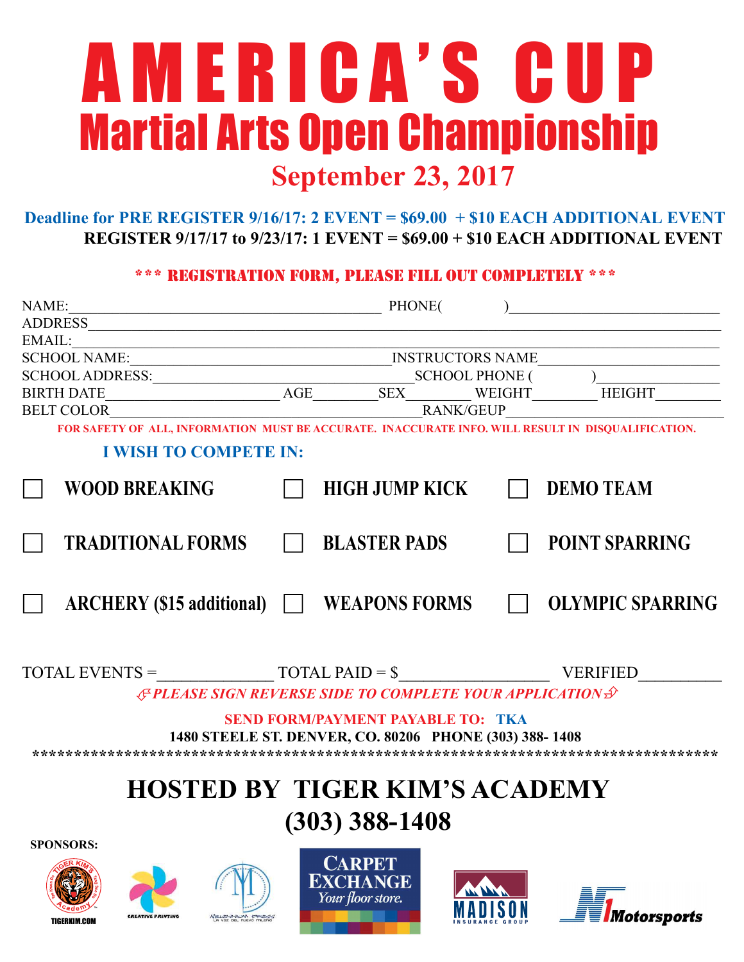# September 23, 2017 A M E R I C A ' S C U P Martial Arts Open Championship

## Deadline for PRE REGISTER 9/16/17: 2 EVENT = \$69.00 + \$10 EACH ADDITIONAL EVENT REGISTER 9/17/17 to 9/23/17: 1 EVENT = \$69.00 + \$10 EACH ADDITIONAL EVENT

### \*\*\* registration form, please fill out completely \*\*\*

| September 25, 2017                                                                                 |                                                                                  |  |                         |
|----------------------------------------------------------------------------------------------------|----------------------------------------------------------------------------------|--|-------------------------|
| Deadline for PRE REGISTER $9/16/17$ : 2 EVENT = \$69.00 + \$10 EACH ADDITIONAL EVENT               | REGISTER $9/17/17$ to $9/23/17$ : 1 EVENT = $$69.00 + $10$ EACH ADDITIONAL EVENT |  |                         |
|                                                                                                    | *** REGISTRATION FORM, PLEASE FILL OUT COMPLETELY ***                            |  |                         |
| NAME:<br><u> 1989 - Johann Stein, mars an deus Frankryk (f. 1982)</u>                              | PHONE(                                                                           |  |                         |
| <b>ADDRESS</b>                                                                                     | <u> 1989 - Andrea Andrew Maria (h. 1989).</u>                                    |  |                         |
| EMAIL:                                                                                             |                                                                                  |  |                         |
|                                                                                                    |                                                                                  |  |                         |
|                                                                                                    |                                                                                  |  |                         |
|                                                                                                    |                                                                                  |  | <b>HEIGHT</b>           |
| <b>BELT COLOR</b>                                                                                  | <b>RANK/GEUP</b>                                                                 |  |                         |
| FOR SAFETY OF ALL, INFORMATION MUST BE ACCURATE. INACCURATE INFO. WILL RESULT IN DISQUALIFICATION. |                                                                                  |  |                         |
| <b>I WISH TO COMPETE IN:</b>                                                                       |                                                                                  |  |                         |
| <b>WOOD BREAKING</b>                                                                               | <b>HIGH JUMP KICK</b>                                                            |  | <b>DEMO TEAM</b>        |
|                                                                                                    |                                                                                  |  |                         |
| <b>TRADITIONAL FORMS</b>                                                                           | <b>BLASTER PADS</b>                                                              |  | <b>POINT SPARRING</b>   |
| $\text{ARCHERY (\$15 additional)}$                                                                 | <b>WEAPONS FORMS</b>                                                             |  | <b>OLYMPIC SPARRING</b> |
| $\text{TOTAL EVENTS} = \text{TOTAL PAID} = \text{\$}$                                              |                                                                                  |  | <b>VERIFIED</b>         |
|                                                                                                    | <b>EPLEASE SIGN REVERSE SIDE TO COMPLETE YOUR APPLICATION ST</b>                 |  |                         |
|                                                                                                    |                                                                                  |  |                         |
|                                                                                                    | <b>SEND FORM/PAYMENT PAYABLE TO: TKA</b>                                         |  |                         |
|                                                                                                    | 1480 STEELE ST. DENVER, CO. 80206 PHONE (303) 388-1408                           |  |                         |
|                                                                                                    |                                                                                  |  |                         |
|                                                                                                    | <b>HOSTED BY TIGER KIM'S ACADEMY</b>                                             |  |                         |
|                                                                                                    |                                                                                  |  |                         |
|                                                                                                    | $(303)$ 388-1408                                                                 |  |                         |
| <b>SPONSORS:</b>                                                                                   |                                                                                  |  |                         |
|                                                                                                    | <b>CARPET</b><br><b>EXCHANGE</b>                                                 |  |                         |

**Wotorsports** 

MADISUN

TIGERKIM.COM